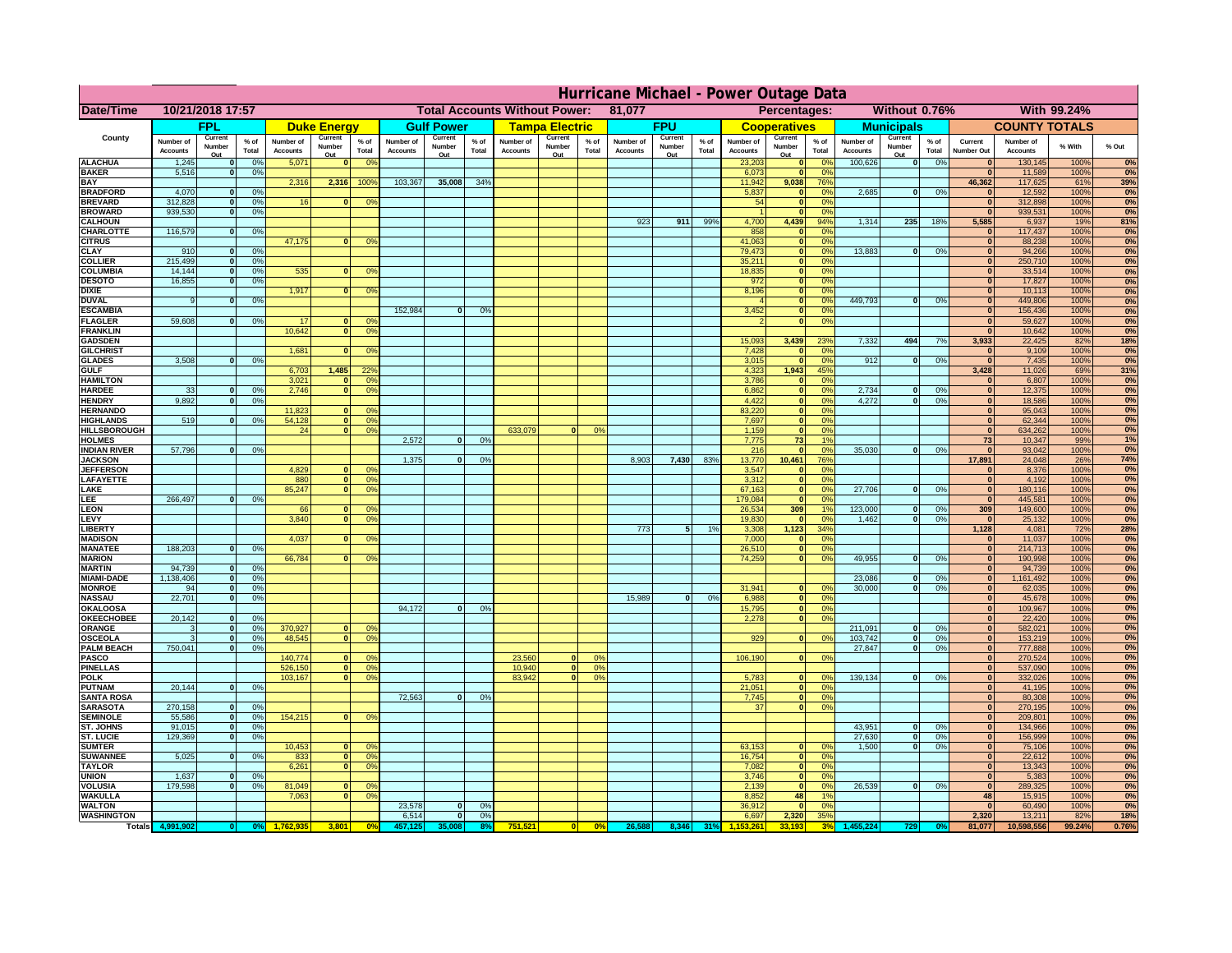|                                         | Hurricane Michael - Power Outage Data |                             |                 |                              |                                                |                                   |                              |                    |                |                              |                                              |                  |                              |                   |                 |                              |                     |                                  |                              |                         |                 |                              |                              |              |           |
|-----------------------------------------|---------------------------------------|-----------------------------|-----------------|------------------------------|------------------------------------------------|-----------------------------------|------------------------------|--------------------|----------------|------------------------------|----------------------------------------------|------------------|------------------------------|-------------------|-----------------|------------------------------|---------------------|----------------------------------|------------------------------|-------------------------|-----------------|------------------------------|------------------------------|--------------|-----------|
| Date/Time                               | 10/21/2018 17:57                      |                             |                 |                              | <b>Total Accounts Without Power:</b><br>81,077 |                                   |                              |                    |                |                              | Without 0.76%<br>With 99.24%<br>Percentages: |                  |                              |                   |                 |                              |                     |                                  |                              |                         |                 |                              |                              |              |           |
|                                         |                                       | FPL                         |                 |                              | <b>Duke Energy</b>                             |                                   |                              | <b>Gulf Power</b>  |                |                              | <b>Tampa Electric</b>                        |                  |                              | <b>FPU</b>        |                 |                              | <b>Cooperatives</b> |                                  |                              | <b>Municipals</b>       |                 |                              | <b>COUNTY TOTALS</b>         |              |           |
| County                                  | Number of<br><b>Accounts</b>          | Current<br>Number           | $%$ of<br>Total | Number of<br><b>Accounts</b> | Current<br>Number                              | $%$ of<br>Total                   | Number of<br><b>Accounts</b> | Current<br>Number  | % of<br>Total  | Number of<br><b>Accounts</b> | Current<br>Number                            | $%$ of<br>Total  | Number of<br><b>Accounts</b> | Current<br>Number | $%$ of<br>Total | Number of<br><b>Accounts</b> | Current<br>Number   | $%$ of<br>Total                  | Number of<br><b>Accounts</b> | Current<br>Number       | $%$ of<br>Total | Current<br><b>Number Out</b> | Number of<br><b>Accounts</b> | % With       | % Out     |
| <b>ALACHUA</b>                          | 1,245                                 | Out<br>$\mathbf{0}$         | 0%              | 5,071                        | Out<br>$\mathbf{0}$                            | 0 <sup>9</sup>                    |                              | Out                |                |                              | Out                                          |                  |                              | Out               |                 | 23,203                       | Out<br> 0           | 0 <sup>9</sup>                   | 100,626                      | Out<br> 0               | 0%              | $\bf{0}$                     | 130,145                      | 100%         | 0%        |
| <b>BAKER</b>                            | 5,516                                 | 0                           | 0%              |                              |                                                |                                   |                              |                    |                |                              |                                              |                  |                              |                   |                 | 6,073                        | 0                   | 0%                               |                              |                         |                 | $\mathbf{0}$                 | 11,589                       | 100%         | 0%        |
| <b>BAY</b><br><b>BRADFORD</b>           | 4,070                                 | $\mathbf{0}$                | 0%              | 2,316                        | 2,316                                          | 100%                              | 103,367                      | 35,008             | 34%            |                              |                                              |                  |                              |                   |                 | 11,942<br>5,837              | 9,038<br> 0         | 76%<br>0%                        | 2,685                        | 0                       | 0%              | 46,362<br>$\bf{0}$           | 117,625<br>12,592            | 61%<br>100%  | 39%<br>0% |
| <b>BREVARD</b>                          | 312,828                               | 0                           | 0%              | 16                           | $\mathbf{0}$                                   | 0 <sup>o</sup>                    |                              |                    |                |                              |                                              |                  |                              |                   |                 | 54                           | 0                   | 0%                               |                              |                         |                 | 0                            | 312,898                      | 100%         | 0%        |
| <b>BROWARD</b>                          | 939.530                               | 0                           | 0%              |                              |                                                |                                   |                              |                    |                |                              |                                              |                  |                              |                   |                 |                              | 0                   | 0%                               |                              |                         |                 | $\bf{0}$                     | 939,531                      | 100%         | 0%        |
| <b>CALHOUN</b>                          |                                       |                             |                 |                              |                                                |                                   |                              |                    |                |                              |                                              |                  | 923                          | 911               | 99%             | 4,700                        | 4,439               | 94%                              | 1,314                        | 235                     | 18%             | 5,585                        | 6,937                        | 19%          | 81%       |
| CHARLOTTE<br><b>CITRUS</b>              | 116,579                               | 0                           | 0%              | 47,175                       | $\mathbf{0}$                                   | 0 <sup>o</sup>                    |                              |                    |                |                              |                                              |                  |                              |                   |                 | 858<br>41,063                | 0 <br> 0            | 0 <sup>9</sup><br>0 <sup>9</sup> |                              |                         |                 | $\bf{0}$<br>$\bf{0}$         | 117,437<br>88,238            | 100%<br>100% | 0%<br>0%  |
| <b>CLAY</b>                             | 910                                   | $\mathbf{0}$                | 0%              |                              |                                                |                                   |                              |                    |                |                              |                                              |                  |                              |                   |                 | 79,473                       | 0                   | 0%                               | 13,883                       | $\mathbf{0}$            | 0%              | $\bf{0}$                     | 94,266                       | 100%         | 0%        |
| <b>COLLIER</b>                          | 215,499                               | $\mathbf{0}$                | 0 <sup>9</sup>  |                              |                                                |                                   |                              |                    |                |                              |                                              |                  |                              |                   |                 | 35,211                       | 0                   | 0%                               |                              |                         |                 | $\bf{0}$                     | 250,710                      | 100%         | 0%        |
| <b>COLUMBIA</b><br><b>DESOTO</b>        | 14,144<br>16,855                      | $\mathbf 0$<br>$\mathbf{0}$ | 0%<br>0%        | 535                          | $\mathbf{0}$                                   | 0 <sup>9</sup>                    |                              |                    |                |                              |                                              |                  |                              |                   |                 | 18,835<br>972                | 0 <br> 0            | 0%<br>0%                         |                              |                         |                 | $\bf{0}$<br>$\bf{0}$         | 33,514<br>17,827             | 100%<br>100% | 0%<br>0%  |
| <b>DIXIE</b>                            |                                       |                             |                 | 1,917                        | $\Omega$                                       | 0 <sup>9</sup>                    |                              |                    |                |                              |                                              |                  |                              |                   |                 | 8,196                        | 0                   | 0%                               |                              |                         |                 | $\Omega$                     | 10,113                       | 100%         | 0%        |
| <b>DUVAL</b>                            | 9                                     | $\Omega$                    | 0%              |                              |                                                |                                   |                              |                    |                |                              |                                              |                  |                              |                   |                 |                              | 0                   | 0%                               | 449.793                      | $\overline{0}$          | 0%              | $\Omega$                     | 449,806                      | 100%         | 0%        |
| <b>ESCAMBIA</b>                         |                                       |                             |                 |                              |                                                |                                   | 152,984                      | $\mathbf{0}$       | 0 <sup>o</sup> |                              |                                              |                  |                              |                   |                 | 3,452                        | 0                   | 0%                               |                              |                         |                 | $\Omega$                     | 156,436                      | 100%         | 0%        |
| <b>FLAGLER</b><br><b>FRANKLIN</b>       | 59,608                                | $\overline{0}$              | 0%              | 17<br>10,642                 | $\bf{0}$<br> 0                                 | 0 <sup>o</sup><br>0 <sup>9</sup>  |                              |                    |                |                              |                                              |                  |                              |                   |                 |                              | 0                   | 0%                               |                              |                         |                 | $\mathbf{0}$<br>$\Omega$     | 59,627<br>10,642             | 100%<br>100% | 0%<br>0%  |
| <b>GADSDEN</b>                          |                                       |                             |                 |                              |                                                |                                   |                              |                    |                |                              |                                              |                  |                              |                   |                 | 15,093                       | 3,439               | 23%                              | 7,332                        | 494                     | 7%              | 3,933                        | 22,425                       | 82%          | 18%       |
| <b>GILCHRIST</b>                        |                                       |                             |                 | 1,681                        | $\mathbf{0}$                                   | 0 <sup>9</sup>                    |                              |                    |                |                              |                                              |                  |                              |                   |                 | 7,428                        | 0                   | 0%                               |                              |                         |                 | $\mathbf{0}$                 | 9,109                        | 100%         | 0%        |
| <b>GLADES</b>                           | 3,508                                 | 0                           | 0%              |                              |                                                |                                   |                              |                    |                |                              |                                              |                  |                              |                   |                 | 3,015                        | 0                   | 0%                               | 912                          | $\overline{0}$          | 0%              | 0                            | 7,435                        | 100%         | 0%        |
| <b>GULF</b><br><b>HAMILTON</b>          |                                       |                             |                 | 6,703<br>3,021               | 1,485<br>$\Omega$                              | 22 <sup>o</sup><br>0 <sup>9</sup> |                              |                    |                |                              |                                              |                  |                              |                   |                 | 4,323<br>3,786               | 1,943<br> 0         | 45%<br>0%                        |                              |                         |                 | 3,428<br>$\Omega$            | 11,026<br>6,807              | 69%<br>100%  | 31%<br>0% |
| <b>HARDEE</b>                           | 33                                    | $\overline{0}$              | 0%              | 2.746                        | $\overline{0}$                                 | 0 <sup>9</sup>                    |                              |                    |                |                              |                                              |                  |                              |                   |                 | 6.862                        | $\overline{0}$      | 0%                               | 2.734                        | $\mathbf{0}$            | 0%              | 0                            | 12,375                       | 100%         | 0%        |
| <b>HENDRY</b>                           | 9,892                                 | $\Omega$                    | 0%              |                              |                                                |                                   |                              |                    |                |                              |                                              |                  |                              |                   |                 | 4,422                        | 0                   | 0%                               | 4,272                        | $\Omega$                | 0%              | 0                            | 18,586                       | 100%         | 0%        |
| <b>HERNANDO</b>                         |                                       |                             |                 | 11,823                       | $\mathbf{0}$                                   | 0 <sup>9</sup>                    |                              |                    |                |                              |                                              |                  |                              |                   |                 | 83,220                       | 0                   | 0%                               |                              |                         |                 | 0                            | 95,043                       | 100%         | 0%        |
| <b>HIGHLANDS</b><br><b>HILLSBOROUGH</b> | 519                                   | $\mathbf{0}$                | 0 <sup>9</sup>  | 54,128<br>24                 | 0 <br> 0                                       | 0 <sup>9</sup><br>0 <sup>9</sup>  |                              |                    |                | 633,079                      |                                              | 0%               |                              |                   |                 | 7,697<br>1,159               | 0 <br> 0            | 0%<br>0%                         |                              |                         |                 | $\mathbf{0}$<br> 0           | 62,344<br>634,262            | 100%<br>100% | 0%<br>0%  |
| <b>HOLMES</b>                           |                                       |                             |                 |                              |                                                |                                   | 2.572                        | $\mathbf{0}$       | 0%             |                              |                                              |                  |                              |                   |                 | 7.775                        | 73                  | 1%                               |                              |                         |                 | 73                           | 10,347                       | 99%          | 1%        |
| <b>INDIAN RIVER</b>                     | 57,796                                | $\mathbf{0}$                | 0%              |                              |                                                |                                   |                              |                    |                |                              |                                              |                  |                              |                   |                 | 216                          | 0                   | 0%                               | 35,030                       | $\mathbf{0}$            | 0%              | $\mathbf{0}$                 | 93,042                       | 100%         | 0%        |
| <b>JACKSON</b>                          |                                       |                             |                 |                              |                                                |                                   | 1.375                        | $\mathbf{0}$       | 0 <sup>9</sup> |                              |                                              |                  | 8.903                        | 7.430             | 83%             | 13,770                       | 10.461              | 76%                              |                              |                         |                 | 17.891                       | 24,048                       | 26%          | 74%       |
| <b>JEFFERSON</b><br>LAFAYETTE           |                                       |                             |                 | 4.829<br>880                 | n l<br> 0                                      | 0 <sup>9</sup><br>0 <sup>9</sup>  |                              |                    |                |                              |                                              |                  |                              |                   |                 | 3.547<br>3.312               | 0 <br> 0            | 0%<br>0%                         |                              |                         |                 | 0 <br> 0                     | 8.376<br>4.192               | 100%<br>100% | 0%<br>0%  |
| LAKE                                    |                                       |                             |                 | 85,247                       | $\mathbf{0}$                                   | 0 <sup>9</sup>                    |                              |                    |                |                              |                                              |                  |                              |                   |                 | 67,163                       | 0                   | 0%                               | 27,706                       | $\Omega$                | 0%              | 0                            | 180,116                      | 100%         | 0%        |
| EE.                                     | 266,497                               | 0                           | 0%              |                              |                                                |                                   |                              |                    |                |                              |                                              |                  |                              |                   |                 | 179,084                      | 0                   | 0%                               |                              |                         |                 | 0                            | 445,581                      | 100%         | 0%        |
| LEON                                    |                                       |                             |                 | 66                           | $\mathbf{0}$                                   | 0 <sup>o</sup>                    |                              |                    |                |                              |                                              |                  |                              |                   |                 | 26,534                       | 309                 | 1%                               | 123,000                      | $\mathbf{0}$            | 0%              | 309                          | 149,600                      | 100%         | 0%        |
| LEVY<br>LIBERTY                         |                                       |                             |                 | 3,840                        | $\Omega$                                       | 0 <sup>9</sup>                    |                              |                    |                |                              |                                              |                  | 773                          | -5                | 1%              | 19,830<br>3,308              | 0 <br>1,123         | 0%<br>34%                        | 1,462                        | -ol                     | 0%              | 0 <br>1,128                  | 25,132<br>4,081              | 100%<br>72%  | 0%<br>28% |
| <b>MADISON</b>                          |                                       |                             |                 | 4,037                        | $\Omega$                                       | 0 <sup>9</sup>                    |                              |                    |                |                              |                                              |                  |                              |                   |                 | 7,000                        | 0                   | 0%                               |                              |                         |                 | $\mathbf{0}$                 | 11,037                       | 100%         | 0%        |
| <b>MANATEE</b>                          | 188,203                               | 0                           | 0%              |                              |                                                |                                   |                              |                    |                |                              |                                              |                  |                              |                   |                 | 26,510                       | 0                   | 0%                               |                              |                         |                 | 0                            | 214,713                      | 100%         | 0%        |
| <b>MARION</b>                           |                                       |                             |                 | 66,784                       | 0                                              | 0 <sup>9</sup>                    |                              |                    |                |                              |                                              |                  |                              |                   |                 | 74,259                       | 0                   | 0%                               | 49,955                       | nl                      | 0%              | 0                            | 190,998                      | 100%         | 0%        |
| <b>MARTIN</b><br><b>MIAMI-DADE</b>      | 94,739<br>1,138,406                   | 0 <br> 0                    | 0%<br>0%        |                              |                                                |                                   |                              |                    |                |                              |                                              |                  |                              |                   |                 |                              |                     |                                  | 23,086                       | $\mathbf{0}$            | 0%              | 0 <br> 0                     | 94,739<br>1,161,492          | 100%<br>100% | 0%<br>0%  |
| <b>MONROE</b>                           | 94                                    | 0                           | 0%              |                              |                                                |                                   |                              |                    |                |                              |                                              |                  |                              |                   |                 | 31,941                       | $\overline{0}$      | 0 <sup>9</sup>                   | 30,000                       | 0                       | 0%              | 0                            | 62,035                       | 100%         | 0%        |
| <b>NASSAU</b>                           | 22,701                                | 0                           | 0%              |                              |                                                |                                   |                              |                    |                |                              |                                              |                  | 15,989                       | 0                 | 0%              | 6,988                        | 0                   | 0%                               |                              |                         |                 | 0                            | 45,678                       | 100%         | 0%        |
| <b>OKALOOSA</b>                         |                                       |                             |                 |                              |                                                |                                   | 94,172                       | $\mathbf{0}$       | 0%             |                              |                                              |                  |                              |                   |                 | 15,795                       | 0                   | 0%                               |                              |                         |                 | 0                            | 109,967                      | 100%         | 0%        |
| <b>OKEECHOBEE</b><br>ORANGE             | 20,142<br>3                           | 0 <br> 0                    | 0%<br>0%        | 370,927                      |                                                | 0 <br>0 <sup>o</sup>              |                              |                    |                |                              |                                              |                  |                              |                   |                 | 2,278                        | 0                   | 0%                               | 211,091                      | $\mathbf{0}$            | 0%              | 0 <br> 0                     | 22,420<br>582,021            | 100%<br>100% | 0%<br>0%  |
| <b>OSCEOLA</b>                          | 3                                     | 0                           | 0%              | 48,545                       |                                                | 0 <sup>9</sup><br> 0              |                              |                    |                |                              |                                              |                  |                              |                   |                 | 929                          | 0                   | 0%                               | 103,742                      | 0                       | 0%              | 0                            | 153,219                      | 100%         | 0%        |
| <b>PALM BEACH</b>                       | 750,041                               | 0                           | 0%              |                              |                                                |                                   |                              |                    |                |                              |                                              |                  |                              |                   |                 |                              |                     |                                  | 27,847                       | $\overline{\mathbf{0}}$ | 0%              | 0                            | 777,888                      | 100%         | 0%        |
| <b>PASCO</b><br><b>PINELLAS</b>         |                                       |                             |                 | 140,774                      | $\Omega$                                       | $^{\circ}$<br>0 <sup>9</sup>      |                              |                    |                | 23,560                       | $\Omega$<br> 0                               | $^{\circ}$<br>0% |                              |                   |                 | 106,190                      | 0                   | 0%                               |                              |                         |                 | 0 <br>$\Omega$               | 270,524                      | 100%         | 0%        |
| <b>POLK</b>                             |                                       |                             |                 | 526,150<br>103,167           | 0                                              | 0 <sup>9</sup><br> 0              |                              |                    |                | 10,940<br>83,942             | $\mathbf{a}$                                 | 0%               |                              |                   |                 | 5,783                        | 0                   | $\Omega$                         | 139,134                      | 0                       | 0%              | 0                            | 537,090<br>332,026           | 100%<br>100% | 0%<br>0%  |
| <b>PUTNAM</b>                           | 20,144                                | 0                           | 0%              |                              |                                                |                                   |                              |                    |                |                              |                                              |                  |                              |                   |                 | 21,051                       | $\ddot{\text{o}}$   | 0%                               |                              |                         |                 | $\bf{0}$                     | 41,195                       | 100%         | 0%        |
| <b>SANTA ROSA</b>                       |                                       |                             |                 |                              |                                                |                                   | 72,563                       | 0                  | 0%             |                              |                                              |                  |                              |                   |                 | 7,745                        | 0                   | 0%                               |                              |                         |                 | $\mathbf{0}$                 | 80,308                       | 100%         | 0%        |
| <b>SARASOTA</b>                         | 270,158<br>55,586                     | 0                           | 0%<br>0%        | 154,215                      |                                                | $\mathbf{0}$<br>0 <sup>9</sup>    |                              |                    |                |                              |                                              |                  |                              |                   |                 | 37                           | 0                   | 0%                               |                              |                         |                 | $\mathbf{0}$<br>$\mathbf{0}$ | 270,195                      | 100%         | 0%<br>0%  |
| <b>SEMINOLE</b><br><b>ST. JOHNS</b>     | 91,015                                | 0 <br> 0                    | 0%              |                              |                                                |                                   |                              |                    |                |                              |                                              |                  |                              |                   |                 |                              |                     |                                  | 43,951                       | -ol                     | 0%              | 0                            | 209,801<br>134,966           | 100%<br>100% | 0%        |
| <b>ST. LUCIE</b>                        | 129.369                               | $\overline{0}$              | 0%              |                              |                                                |                                   |                              |                    |                |                              |                                              |                  |                              |                   |                 |                              |                     |                                  | 27.630                       | - O I                   | 0%              | 0                            | 156,999                      | 100%         | 0%        |
| <b>SUMTER</b>                           |                                       |                             |                 | 10,453                       | 0                                              | 0 <sup>9</sup>                    |                              |                    |                |                              |                                              |                  |                              |                   |                 | 63,153                       | 0                   | 0%                               | 1.500                        | 0                       | 0%              | 0                            | 75,106                       | 100%         | 0%        |
| <b>SUWANNEE</b><br><b>TAYLOR</b>        | 5,025                                 | 0                           | 0%              | 833                          | 0 <br> 0                                       | 0 <sup>o</sup>                    |                              |                    |                |                              |                                              |                  |                              |                   |                 | 16,754<br>7,082              | 0                   | 0%<br>0%                         |                              |                         |                 | $\mathbf{0}$<br>$\bf{0}$     | 22,612<br>13,343             | 100%<br>100% | 0%<br>0%  |
| <b>UNION</b>                            | 1,637                                 | $\mathbf{0}$                | 0%              | 6,261                        |                                                | 0 <sup>9</sup>                    |                              |                    |                |                              |                                              |                  |                              |                   |                 | 3,746                        | 0 <br> 0            | 0%                               |                              |                         |                 | $\bf{0}$                     | 5,383                        | 100%         | 0%        |
| <b>VOLUSIA</b>                          | 179,598                               | 0                           | 0%              | 81,049                       | $\mathbf{0}$                                   | $\mathbf{0}$                      |                              |                    |                |                              |                                              |                  |                              |                   |                 | 2,139                        | 0                   | 0%                               | 26,539                       | 0                       | 0%              | $\mathbf{0}$                 | 289,325                      | 100%         | 0%        |
| <b>WAKULLA</b>                          |                                       |                             |                 | 7,063                        | $\mathbf{0}$                                   | 0 <sup>9</sup>                    |                              |                    |                |                              |                                              |                  |                              |                   |                 | 8,852                        | 48                  | 1%                               |                              |                         |                 | 48                           | 15,915                       | 100%         | 0%        |
| <b>WALTON</b><br><b>WASHINGTON</b>      |                                       |                             |                 |                              |                                                |                                   | 23,578<br>6,514              | $\mathbf{0}$<br> 0 | 0%<br>0%       |                              |                                              |                  |                              |                   |                 | 36,912<br>6,697              | 0 <br>2,320         | 0%<br>35%                        |                              |                         |                 | $\mathbf{0}$<br>2,320        | 60,490<br>13,211             | 100%<br>82%  | 0%<br>18% |
| <b>Totals</b>                           |                                       |                             |                 |                              | 3,801                                          | 0 <sup>6</sup>                    |                              |                    |                | 751,521                      | 0                                            | 0%               | 26,588                       | 8,346             | 31%             |                              |                     | 3 <sup>0</sup>                   |                              |                         |                 | 81,077                       | 10,598,556                   | 99.24%       | 0.76%     |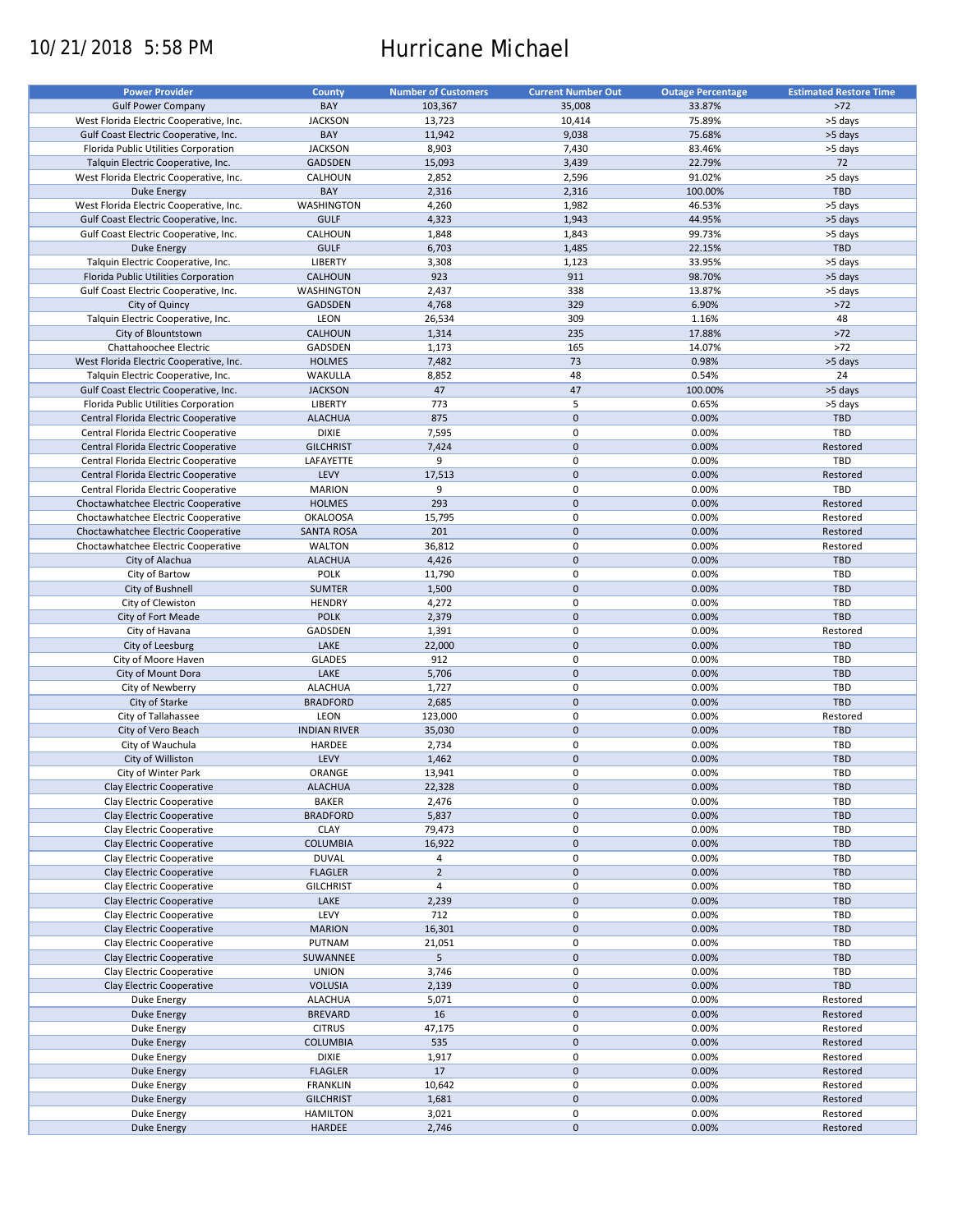# 10/21/2018 5:58 PM Hurricane Michael

| <b>Power Provider</b>                   | <b>County</b>       | <b>Number of Customers</b> | <b>Current Number Out</b> | <b>Outage Percentage</b> | <b>Estimated Restore Time</b> |
|-----------------------------------------|---------------------|----------------------------|---------------------------|--------------------------|-------------------------------|
| <b>Gulf Power Company</b>               | BAY                 | 103,367                    | 35,008                    | 33.87%                   | $>72$                         |
| West Florida Electric Cooperative, Inc. | <b>JACKSON</b>      | 13,723                     | 10,414                    | 75.89%                   | >5 days                       |
|                                         | BAY                 | 11,942                     | 9,038                     | 75.68%                   | >5 days                       |
| Gulf Coast Electric Cooperative, Inc.   |                     |                            |                           |                          |                               |
| Florida Public Utilities Corporation    | <b>JACKSON</b>      | 8,903                      | 7,430                     | 83.46%                   | >5 days                       |
| Talquin Electric Cooperative, Inc.      | GADSDEN             | 15,093                     | 3,439                     | 22.79%                   | 72                            |
| West Florida Electric Cooperative, Inc. | CALHOUN             | 2,852                      | 2,596                     | 91.02%                   | >5 days                       |
| Duke Energy                             | BAY                 | 2,316                      | 2,316                     | 100.00%                  | <b>TBD</b>                    |
| West Florida Electric Cooperative, Inc. | WASHINGTON          | 4,260                      | 1,982                     | 46.53%                   | >5 days                       |
| Gulf Coast Electric Cooperative, Inc.   | <b>GULF</b>         | 4,323                      | 1,943                     | 44.95%                   | >5 days                       |
| Gulf Coast Electric Cooperative, Inc.   | CALHOUN             | 1,848                      | 1,843                     | 99.73%                   | >5 days                       |
| <b>Duke Energy</b>                      | <b>GULF</b>         | 6,703                      | 1,485                     | 22.15%                   | TBD                           |
| Talquin Electric Cooperative, Inc.      | LIBERTY             | 3,308                      | 1,123                     | 33.95%                   | >5 days                       |
| Florida Public Utilities Corporation    | CALHOUN             | 923                        | 911                       | 98.70%                   | >5 days                       |
| Gulf Coast Electric Cooperative, Inc.   | WASHINGTON          | 2,437                      | 338                       | 13.87%                   | >5 days                       |
|                                         | <b>GADSDEN</b>      | 4,768                      | 329                       | 6.90%                    | $>72$                         |
| City of Quincy                          |                     |                            |                           |                          |                               |
| Talquin Electric Cooperative, Inc.      | LEON                | 26,534                     | 309                       | 1.16%                    | 48                            |
| City of Blountstown                     | CALHOUN             | 1,314                      | 235                       | 17.88%                   | $>72$                         |
| Chattahoochee Electric                  | GADSDEN             | 1,173                      | 165                       | 14.07%                   | $>72$                         |
| West Florida Electric Cooperative, Inc. | <b>HOLMES</b>       | 7,482                      | 73                        | 0.98%                    | >5 days                       |
| Talquin Electric Cooperative, Inc.      | WAKULLA             | 8,852                      | 48                        | 0.54%                    | 24                            |
| Gulf Coast Electric Cooperative, Inc.   | <b>JACKSON</b>      | 47                         | 47                        | 100.00%                  | >5 days                       |
| Florida Public Utilities Corporation    | LIBERTY             | 773                        | 5                         | 0.65%                    | >5 days                       |
| Central Florida Electric Cooperative    | <b>ALACHUA</b>      | 875                        | $\pmb{0}$                 | 0.00%                    | <b>TBD</b>                    |
| Central Florida Electric Cooperative    | <b>DIXIE</b>        | 7,595                      | 0                         | 0.00%                    | TBD                           |
| Central Florida Electric Cooperative    | <b>GILCHRIST</b>    | 7,424                      | $\pmb{0}$                 | 0.00%                    | Restored                      |
|                                         |                     | 9                          | $\mathbf 0$               | 0.00%                    | TBD                           |
| Central Florida Electric Cooperative    | LAFAYETTE           |                            |                           |                          |                               |
| Central Florida Electric Cooperative    | LEVY                | 17,513                     | $\pmb{0}$                 | 0.00%                    | Restored                      |
| Central Florida Electric Cooperative    | <b>MARION</b>       | 9                          | $\mathbf 0$               | 0.00%                    | TBD                           |
| Choctawhatchee Electric Cooperative     | <b>HOLMES</b>       | 293                        | $\mathbf 0$               | 0.00%                    | Restored                      |
| Choctawhatchee Electric Cooperative     | <b>OKALOOSA</b>     | 15,795                     | $\mathbf 0$               | 0.00%                    | Restored                      |
| Choctawhatchee Electric Cooperative     | <b>SANTA ROSA</b>   | 201                        | $\pmb{0}$                 | 0.00%                    | Restored                      |
| Choctawhatchee Electric Cooperative     | <b>WALTON</b>       | 36,812                     | 0                         | 0.00%                    | Restored                      |
| City of Alachua                         | <b>ALACHUA</b>      | 4,426                      | $\pmb{0}$                 | 0.00%                    | <b>TBD</b>                    |
| City of Bartow                          | <b>POLK</b>         | 11,790                     | $\mathbf 0$               | 0.00%                    | TBD                           |
| City of Bushnell                        | <b>SUMTER</b>       | 1,500                      | $\mathbf 0$               | 0.00%                    | <b>TBD</b>                    |
| City of Clewiston                       | <b>HENDRY</b>       | 4,272                      | 0                         | 0.00%                    | TBD                           |
|                                         |                     |                            |                           |                          |                               |
| City of Fort Meade                      | <b>POLK</b>         | 2,379                      | $\mathbf 0$               | 0.00%                    | <b>TBD</b>                    |
| City of Havana                          | GADSDEN             | 1,391                      | 0                         | 0.00%                    | Restored                      |
| City of Leesburg                        | LAKE                | 22,000                     | $\mathbf 0$               | 0.00%                    | <b>TBD</b>                    |
| City of Moore Haven                     | <b>GLADES</b>       | 912                        | 0                         | 0.00%                    | TBD                           |
| City of Mount Dora                      | LAKE                | 5,706                      | $\pmb{0}$                 | 0.00%                    | <b>TBD</b>                    |
| City of Newberry                        | <b>ALACHUA</b>      | 1,727                      | 0                         | 0.00%                    | TBD                           |
| City of Starke                          | <b>BRADFORD</b>     | 2,685                      | $\pmb{0}$                 | 0.00%                    | TBD                           |
| City of Tallahassee                     | LEON                | 123,000                    | 0                         | 0.00%                    | Restored                      |
| City of Vero Beach                      | <b>INDIAN RIVER</b> | 35,030                     | $\mathbf 0$               | 0.00%                    | <b>TBD</b>                    |
| City of Wauchula                        | HARDEE              | 2,734                      | $\pmb{0}$                 | 0.00%                    | TBD                           |
| City of Williston                       | LEVY                | 1,462                      | $\pmb{0}$                 | 0.00%                    | <b>TBD</b>                    |
| City of Winter Park                     |                     |                            | 0                         |                          | TBD                           |
|                                         | ORANGE              | 13,941                     |                           | 0.00%                    |                               |
| Clay Electric Cooperative               | <b>ALACHUA</b>      | 22,328                     | $\pmb{0}$                 | 0.00%                    | <b>TBD</b>                    |
| Clay Electric Cooperative               | <b>BAKER</b>        | 2,476                      | 0                         | 0.00%                    | TBD                           |
| Clay Electric Cooperative               | <b>BRADFORD</b>     | 5,837                      | $\pmb{0}$                 | 0.00%                    | <b>TBD</b>                    |
| Clay Electric Cooperative               | <b>CLAY</b>         | 79,473                     | 0                         | 0.00%                    | TBD                           |
| Clay Electric Cooperative               | <b>COLUMBIA</b>     | 16,922                     | $\pmb{0}$                 | 0.00%                    | <b>TBD</b>                    |
| Clay Electric Cooperative               | <b>DUVAL</b>        | 4                          | 0                         | 0.00%                    | TBD                           |
| Clay Electric Cooperative               | <b>FLAGLER</b>      | $\overline{2}$             | 0                         | 0.00%                    | <b>TBD</b>                    |
| Clay Electric Cooperative               | <b>GILCHRIST</b>    | $\overline{4}$             | 0                         | 0.00%                    | TBD                           |
| Clay Electric Cooperative               | LAKE                | 2,239                      | $\pmb{0}$                 | 0.00%                    | TBD                           |
| Clay Electric Cooperative               | LEVY                | 712                        | 0                         | 0.00%                    | TBD                           |
|                                         |                     |                            |                           |                          |                               |
| Clay Electric Cooperative               | <b>MARION</b>       | 16,301                     | $\pmb{0}$                 | 0.00%                    | <b>TBD</b>                    |
| Clay Electric Cooperative               | PUTNAM              | 21,051                     | 0                         | 0.00%                    | TBD                           |
| Clay Electric Cooperative               | SUWANNEE            | 5                          | $\pmb{0}$                 | 0.00%                    | <b>TBD</b>                    |
| Clay Electric Cooperative               | <b>UNION</b>        | 3,746                      | 0                         | 0.00%                    | TBD                           |
| Clay Electric Cooperative               | <b>VOLUSIA</b>      | 2,139                      | $\pmb{0}$                 | 0.00%                    | <b>TBD</b>                    |
| Duke Energy                             | <b>ALACHUA</b>      | 5,071                      | 0                         | 0.00%                    | Restored                      |
| <b>Duke Energy</b>                      | <b>BREVARD</b>      | 16                         | $\pmb{0}$                 | 0.00%                    | Restored                      |
| Duke Energy                             | <b>CITRUS</b>       | 47,175                     | 0                         | 0.00%                    | Restored                      |
| <b>Duke Energy</b>                      | COLUMBIA            | 535                        | $\pmb{0}$                 | 0.00%                    | Restored                      |
| Duke Energy                             | <b>DIXIE</b>        | 1,917                      | 0                         | 0.00%                    | Restored                      |
|                                         |                     |                            | $\pmb{0}$                 |                          |                               |
| <b>Duke Energy</b>                      | <b>FLAGLER</b>      | 17                         |                           | 0.00%                    | Restored                      |
| Duke Energy                             | <b>FRANKLIN</b>     | 10,642                     | $\pmb{0}$                 | 0.00%                    | Restored                      |
| <b>Duke Energy</b>                      | <b>GILCHRIST</b>    | 1,681                      | $\pmb{0}$                 | 0.00%                    | Restored                      |
| Duke Energy                             | <b>HAMILTON</b>     | 3,021                      | 0                         | 0.00%                    | Restored                      |
| <b>Duke Energy</b>                      | HARDEE              | 2,746                      | $\pmb{0}$                 | 0.00%                    | Restored                      |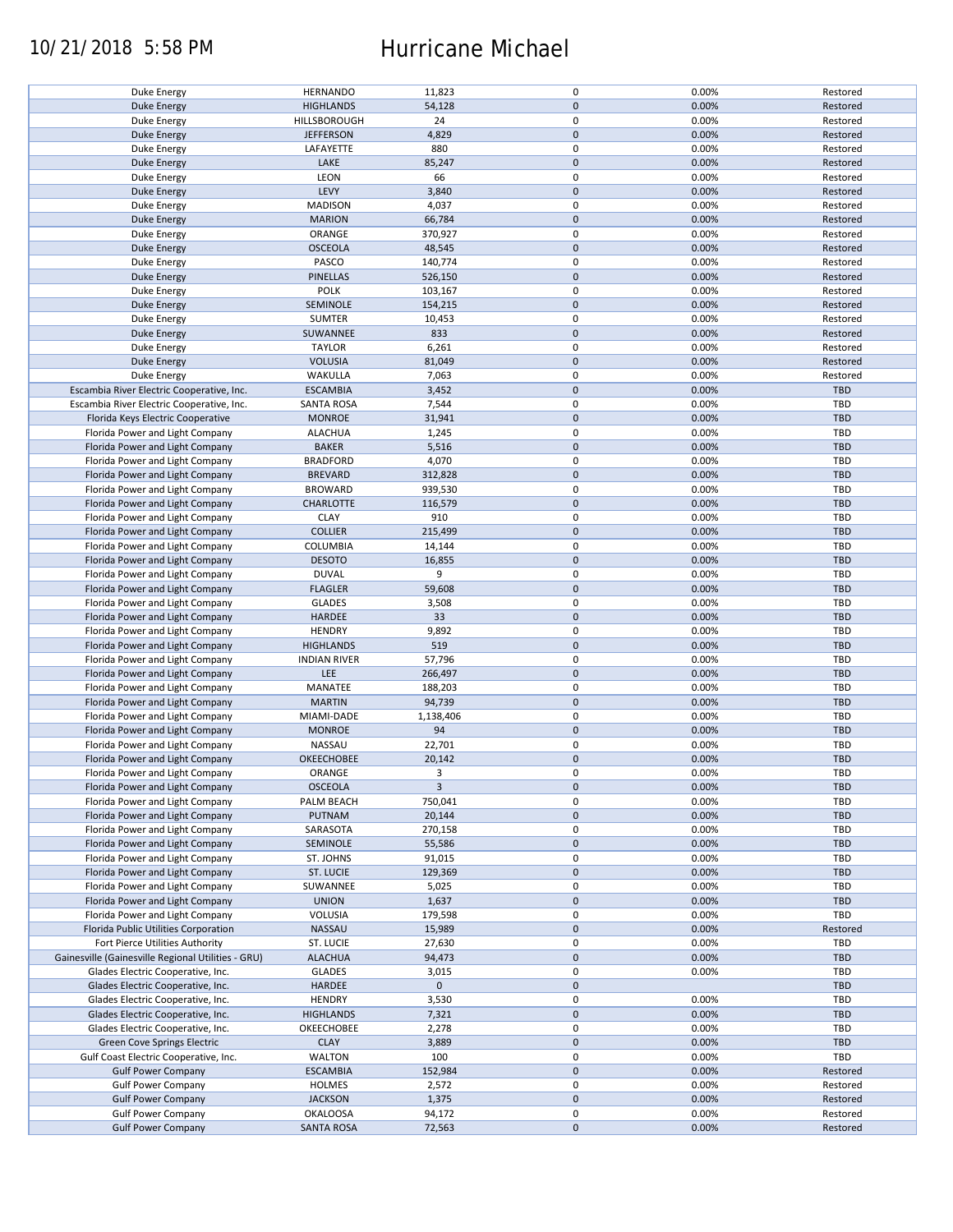### 10/21/2018 5:58 PM Hurricane Michael

| <b>Duke Energy</b>                                 | <b>HERNANDO</b>     | 11,823       | 0           | 0.00% | Restored   |
|----------------------------------------------------|---------------------|--------------|-------------|-------|------------|
| <b>Duke Energy</b>                                 | <b>HIGHLANDS</b>    | 54,128       | $\pmb{0}$   | 0.00% | Restored   |
| Duke Energy                                        |                     | 24           | 0           |       |            |
|                                                    | HILLSBOROUGH        |              |             | 0.00% | Restored   |
| <b>Duke Energy</b>                                 | <b>JEFFERSON</b>    | 4,829        | $\mathbf 0$ | 0.00% | Restored   |
| Duke Energy                                        | LAFAYETTE           | 880          | 0           | 0.00% | Restored   |
| <b>Duke Energy</b>                                 | LAKE                | 85,247       | $\pmb{0}$   | 0.00% | Restored   |
|                                                    |                     |              |             |       |            |
| Duke Energy                                        | LEON                | 66           | 0           | 0.00% | Restored   |
| <b>Duke Energy</b>                                 | LEVY                | 3,840        | $\mathbf 0$ | 0.00% | Restored   |
|                                                    |                     | 4,037        | 0           |       |            |
| Duke Energy                                        | <b>MADISON</b>      |              |             | 0.00% | Restored   |
| <b>Duke Energy</b>                                 | <b>MARION</b>       | 66,784       | $\pmb{0}$   | 0.00% | Restored   |
| Duke Energy                                        | ORANGE              | 370,927      | 0           | 0.00% | Restored   |
|                                                    |                     |              |             |       |            |
| <b>Duke Energy</b>                                 | <b>OSCEOLA</b>      | 48,545       | $\pmb{0}$   | 0.00% | Restored   |
| Duke Energy                                        | PASCO               | 140,774      | $\mathbf 0$ | 0.00% | Restored   |
| <b>Duke Energy</b>                                 | <b>PINELLAS</b>     | 526,150      | $\mathbf 0$ | 0.00% | Restored   |
|                                                    |                     |              |             |       |            |
| Duke Energy                                        | POLK                | 103,167      | $\pmb{0}$   | 0.00% | Restored   |
| <b>Duke Energy</b>                                 | SEMINOLE            | 154,215      | $\pmb{0}$   | 0.00% | Restored   |
| Duke Energy                                        | <b>SUMTER</b>       | 10,453       | 0           | 0.00% | Restored   |
|                                                    |                     |              |             |       |            |
| <b>Duke Energy</b>                                 | SUWANNEE            | 833          | $\mathbf 0$ | 0.00% | Restored   |
| Duke Energy                                        | <b>TAYLOR</b>       | 6,261        | 0           | 0.00% | Restored   |
| <b>Duke Energy</b>                                 | <b>VOLUSIA</b>      | 81,049       | $\mathbf 0$ | 0.00% | Restored   |
|                                                    |                     |              |             |       |            |
| Duke Energy                                        | WAKULLA             | 7,063        | 0           | 0.00% | Restored   |
| Escambia River Electric Cooperative, Inc.          | <b>ESCAMBIA</b>     | 3,452        | $\pmb{0}$   | 0.00% | TBD        |
| Escambia River Electric Cooperative, Inc.          | <b>SANTA ROSA</b>   |              | 0           | 0.00% | <b>TBD</b> |
|                                                    |                     | 7,544        |             |       |            |
| Florida Keys Electric Cooperative                  | <b>MONROE</b>       | 31,941       | $\pmb{0}$   | 0.00% | TBD        |
| Florida Power and Light Company                    | <b>ALACHUA</b>      | 1,245        | 0           | 0.00% | TBD        |
|                                                    |                     |              |             |       |            |
| Florida Power and Light Company                    | <b>BAKER</b>        | 5,516        | $\pmb{0}$   | 0.00% | <b>TBD</b> |
| Florida Power and Light Company                    | <b>BRADFORD</b>     | 4,070        | 0           | 0.00% | TBD        |
| Florida Power and Light Company                    | <b>BREVARD</b>      | 312,828      | $\pmb{0}$   | 0.00% | <b>TBD</b> |
|                                                    |                     |              |             |       |            |
| Florida Power and Light Company                    | <b>BROWARD</b>      | 939,530      | $\pmb{0}$   | 0.00% | <b>TBD</b> |
| Florida Power and Light Company                    | <b>CHARLOTTE</b>    | 116,579      | $\mathbf 0$ | 0.00% | <b>TBD</b> |
| Florida Power and Light Company                    | <b>CLAY</b>         | 910          | 0           | 0.00% | TBD        |
|                                                    |                     |              |             |       |            |
| Florida Power and Light Company                    | <b>COLLIER</b>      | 215,499      | 0           | 0.00% | <b>TBD</b> |
| Florida Power and Light Company                    | COLUMBIA            | 14,144       | 0           | 0.00% | TBD        |
|                                                    |                     |              |             |       |            |
| Florida Power and Light Company                    | <b>DESOTO</b>       | 16,855       | $\pmb{0}$   | 0.00% | <b>TBD</b> |
| Florida Power and Light Company                    | <b>DUVAL</b>        | 9            | 0           | 0.00% | TBD        |
| Florida Power and Light Company                    | <b>FLAGLER</b>      | 59,608       | $\pmb{0}$   | 0.00% | <b>TBD</b> |
|                                                    |                     |              |             |       |            |
| Florida Power and Light Company                    | <b>GLADES</b>       | 3,508        | 0           | 0.00% | TBD        |
| Florida Power and Light Company                    | HARDEE              | 33           | $\mathbf 0$ | 0.00% | <b>TBD</b> |
| Florida Power and Light Company                    | <b>HENDRY</b>       | 9,892        | $\pmb{0}$   | 0.00% | TBD        |
|                                                    |                     |              |             |       |            |
| Florida Power and Light Company                    | <b>HIGHLANDS</b>    | 519          | $\pmb{0}$   | 0.00% | <b>TBD</b> |
| Florida Power and Light Company                    | <b>INDIAN RIVER</b> | 57,796       | 0           | 0.00% | TBD        |
|                                                    | LEE                 | 266,497      | $\pmb{0}$   | 0.00% | <b>TBD</b> |
| Florida Power and Light Company                    |                     |              |             |       |            |
| Florida Power and Light Company                    | MANATEE             | 188,203      | 0           | 0.00% | <b>TBD</b> |
| Florida Power and Light Company                    | <b>MARTIN</b>       | 94,739       | $\pmb{0}$   | 0.00% | <b>TBD</b> |
|                                                    |                     |              |             |       |            |
| Florida Power and Light Company                    | MIAMI-DADE          | 1,138,406    | 0           | 0.00% | <b>TBD</b> |
| Florida Power and Light Company                    | <b>MONROE</b>       | 94           | $\pmb{0}$   | 0.00% | <b>TBD</b> |
| Florida Power and Light Company                    | NASSAU              | 22,701       | 0           | 0.00% | <b>TBD</b> |
|                                                    |                     |              |             |       |            |
| Florida Power and Light Company                    | OKEECHOBEE          | 20,142       | $\mathbf 0$ | 0.00% | <b>TBD</b> |
| Florida Power and Light Company                    | ORANGE              | 3            | $\mathbf 0$ | 0.00% | TBD        |
| Florida Power and Light Company                    | <b>OSCEOLA</b>      | $\mathbf{3}$ | $\pmb{0}$   | 0.00% | <b>TBD</b> |
|                                                    |                     |              |             |       |            |
| Florida Power and Light Company                    | PALM BEACH          | 750,041      | 0           | 0.00% | TBD        |
| Florida Power and Light Company                    | PUTNAM              | 20,144       | 0           | 0.00% | TBD        |
| Florida Power and Light Company                    |                     |              | 0           |       |            |
|                                                    | SARASOTA            | 270,158      |             | 0.00% | TBD        |
| Florida Power and Light Company                    | SEMINOLE            | 55,586       | 0           | 0.00% | <b>TBD</b> |
| Florida Power and Light Company                    | ST. JOHNS           | 91,015       | 0           | 0.00% | TBD        |
|                                                    |                     |              |             |       |            |
| Florida Power and Light Company                    | ST. LUCIE           | 129,369      | 0           | 0.00% | <b>TBD</b> |
| Florida Power and Light Company                    | SUWANNEE            | 5,025        | 0           | 0.00% | TBD        |
| Florida Power and Light Company                    | <b>UNION</b>        | 1,637        | $\pmb{0}$   | 0.00% | <b>TBD</b> |
|                                                    |                     |              |             |       |            |
| Florida Power and Light Company                    | VOLUSIA             | 179,598      | 0           | 0.00% | TBD        |
| Florida Public Utilities Corporation               | NASSAU              | 15,989       | $\pmb{0}$   | 0.00% | Restored   |
|                                                    |                     |              |             |       |            |
| Fort Pierce Utilities Authority                    | ST. LUCIE           | 27,630       | 0           | 0.00% | TBD        |
| Gainesville (Gainesville Regional Utilities - GRU) | <b>ALACHUA</b>      | 94,473       | $\pmb{0}$   | 0.00% | <b>TBD</b> |
| Glades Electric Cooperative, Inc.                  | <b>GLADES</b>       | 3,015        | $\pmb{0}$   | 0.00% | TBD        |
|                                                    |                     |              |             |       |            |
| Glades Electric Cooperative, Inc.                  | HARDEE              | $\mathbf 0$  | $\pmb{0}$   |       | <b>TBD</b> |
| Glades Electric Cooperative, Inc.                  | <b>HENDRY</b>       | 3,530        | 0           | 0.00% | TBD        |
| Glades Electric Cooperative, Inc.                  | <b>HIGHLANDS</b>    | 7,321        | $\pmb{0}$   | 0.00% | <b>TBD</b> |
|                                                    |                     |              |             |       |            |
| Glades Electric Cooperative, Inc.                  | OKEECHOBEE          | 2,278        | 0           | 0.00% | TBD        |
| Green Cove Springs Electric                        | <b>CLAY</b>         | 3,889        | $\pmb{0}$   | 0.00% | TBD        |
| Gulf Coast Electric Cooperative, Inc.              | WALTON              | 100          | 0           | 0.00% | TBD        |
|                                                    |                     |              |             |       |            |
| <b>Gulf Power Company</b>                          | <b>ESCAMBIA</b>     | 152,984      | $\pmb{0}$   | 0.00% | Restored   |
| <b>Gulf Power Company</b>                          | <b>HOLMES</b>       | 2,572        | 0           | 0.00% | Restored   |
|                                                    |                     |              |             |       |            |
| <b>Gulf Power Company</b>                          | <b>JACKSON</b>      | 1,375        | $\pmb{0}$   | 0.00% | Restored   |
| <b>Gulf Power Company</b>                          | <b>OKALOOSA</b>     | 94,172       | 0           | 0.00% | Restored   |
| <b>Gulf Power Company</b>                          | <b>SANTA ROSA</b>   | 72,563       | $\pmb{0}$   | 0.00% | Restored   |
|                                                    |                     |              |             |       |            |